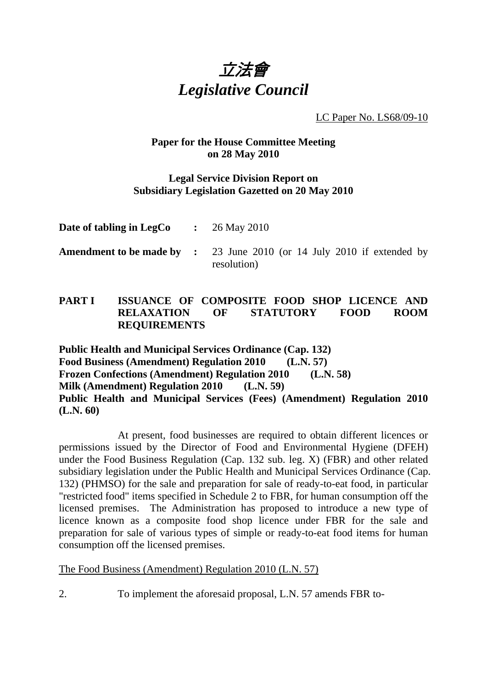

LC Paper No. LS68/09-10

# **Paper for the House Committee Meeting on 28 May 2010**

### **Legal Service Division Report on Subsidiary Legislation Gazetted on 20 May 2010**

| Date of tabling in LegCo | $\therefore$ 26 May 2010                                                                     |  |  |  |
|--------------------------|----------------------------------------------------------------------------------------------|--|--|--|
|                          | <b>Amendment to be made by :</b> 23 June 2010 (or 14 July 2010 if extended by<br>resolution) |  |  |  |

# **PART I ISSUANCE OF COMPOSITE FOOD SHOP LICENCE AND RELAXATION OF STATUTORY FOOD ROOM REQUIREMENTS**

**Public Health and Municipal Services Ordinance (Cap. 132) Food Business (Amendment) Regulation 2010 (L.N. 57) Frozen Confections (Amendment) Regulation 2010 (L.N. 58) Milk (Amendment) Regulation 2010 (L.N. 59) Public Health and Municipal Services (Fees) (Amendment) Regulation 2010 (L.N. 60)** 

At present, food businesses are required to obtain different licences or permissions issued by the Director of Food and Environmental Hygiene (DFEH) under the Food Business Regulation (Cap. 132 sub. leg. X) (FBR) and other related subsidiary legislation under the Public Health and Municipal Services Ordinance (Cap. 132) (PHMSO) for the sale and preparation for sale of ready-to-eat food, in particular "restricted food" items specified in Schedule 2 to FBR, for human consumption off the licensed premises. The Administration has proposed to introduce a new type of licence known as a composite food shop licence under FBR for the sale and preparation for sale of various types of simple or ready-to-eat food items for human consumption off the licensed premises.

The Food Business (Amendment) Regulation 2010 (L.N. 57)

2. To implement the aforesaid proposal, L.N. 57 amends FBR to-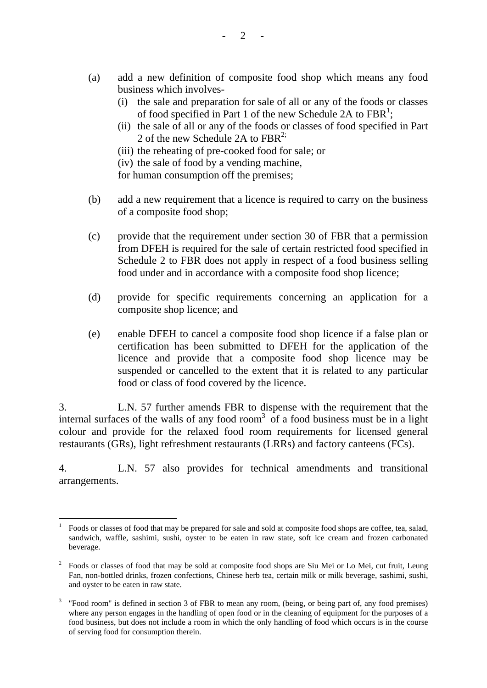- (a) add a new definition of composite food shop which means any food business which involves-
	- (i) the sale and preparation for sale of all or any of the foods or classes of food specified in Part 1 of the new Schedule 2A to  $FBR<sup>1</sup>$ ;
	- (ii) the sale of all or any of the foods or classes of food specified in Part 2 of the new Schedule 2A to  $FBR<sup>2</sup>$ ;
	- (iii) the reheating of pre-cooked food for sale; or
	- (iv) the sale of food by a vending machine,

for human consumption off the premises;

- (b) add a new requirement that a licence is required to carry on the business of a composite food shop;
- (c) provide that the requirement under section 30 of FBR that a permission from DFEH is required for the sale of certain restricted food specified in Schedule 2 to FBR does not apply in respect of a food business selling food under and in accordance with a composite food shop licence;
- (d) provide for specific requirements concerning an application for a composite shop licence; and
- (e) enable DFEH to cancel a composite food shop licence if a false plan or certification has been submitted to DFEH for the application of the licence and provide that a composite food shop licence may be suspended or cancelled to the extent that it is related to any particular food or class of food covered by the licence.

3. L.N. 57 further amends FBR to dispense with the requirement that the internal surfaces of the walls of any food room<sup>3</sup> of a food business must be in a light colour and provide for the relaxed food room requirements for licensed general restaurants (GRs), light refreshment restaurants (LRRs) and factory canteens (FCs).

4. L.N. 57 also provides for technical amendments and transitional arrangements.

 $\overline{a}$ 

<sup>1</sup> Foods or classes of food that may be prepared for sale and sold at composite food shops are coffee, tea, salad, sandwich, waffle, sashimi, sushi, oyster to be eaten in raw state, soft ice cream and frozen carbonated beverage.

<sup>2</sup> Foods or classes of food that may be sold at composite food shops are Siu Mei or Lo Mei, cut fruit, Leung Fan, non-bottled drinks, frozen confections, Chinese herb tea, certain milk or milk beverage, sashimi, sushi, and oyster to be eaten in raw state.

<sup>&</sup>lt;sup>3</sup> "Food room" is defined in section 3 of FBR to mean any room, (being, or being part of, any food premises) where any person engages in the handling of open food or in the cleaning of equipment for the purposes of a food business, but does not include a room in which the only handling of food which occurs is in the course of serving food for consumption therein.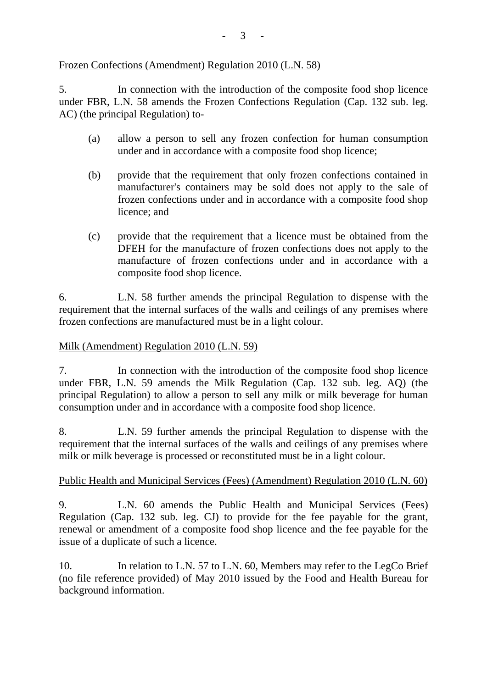# Frozen Confections (Amendment) Regulation 2010 (L.N. 58)

5. In connection with the introduction of the composite food shop licence under FBR, L.N. 58 amends the Frozen Confections Regulation (Cap. 132 sub. leg. AC) (the principal Regulation) to-

- (a) allow a person to sell any frozen confection for human consumption under and in accordance with a composite food shop licence;
- (b) provide that the requirement that only frozen confections contained in manufacturer's containers may be sold does not apply to the sale of frozen confections under and in accordance with a composite food shop licence; and
- (c) provide that the requirement that a licence must be obtained from the DFEH for the manufacture of frozen confections does not apply to the manufacture of frozen confections under and in accordance with a composite food shop licence.

6. L.N. 58 further amends the principal Regulation to dispense with the requirement that the internal surfaces of the walls and ceilings of any premises where frozen confections are manufactured must be in a light colour.

# Milk (Amendment) Regulation 2010 (L.N. 59)

7. In connection with the introduction of the composite food shop licence under FBR, L.N. 59 amends the Milk Regulation (Cap. 132 sub. leg. AQ) (the principal Regulation) to allow a person to sell any milk or milk beverage for human consumption under and in accordance with a composite food shop licence.

8. L.N. 59 further amends the principal Regulation to dispense with the requirement that the internal surfaces of the walls and ceilings of any premises where milk or milk beverage is processed or reconstituted must be in a light colour.

# Public Health and Municipal Services (Fees) (Amendment) Regulation 2010 (L.N. 60)

9. L.N. 60 amends the Public Health and Municipal Services (Fees) Regulation (Cap. 132 sub. leg. CJ) to provide for the fee payable for the grant, renewal or amendment of a composite food shop licence and the fee payable for the issue of a duplicate of such a licence.

10. In relation to L.N. 57 to L.N. 60, Members may refer to the LegCo Brief (no file reference provided) of May 2010 issued by the Food and Health Bureau for background information.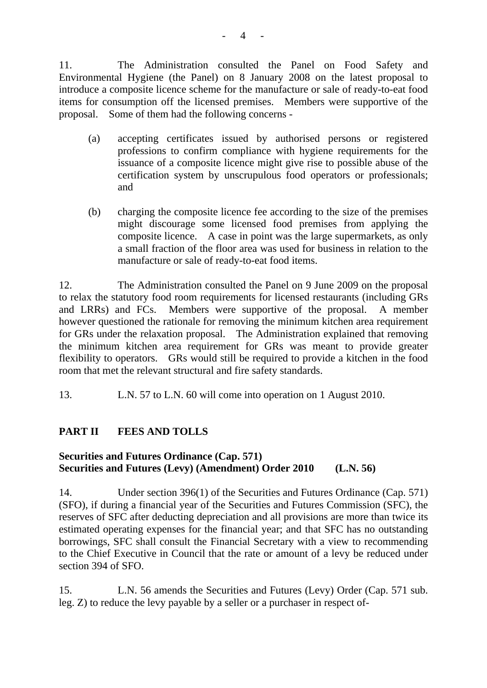11. The Administration consulted the Panel on Food Safety and Environmental Hygiene (the Panel) on 8 January 2008 on the latest proposal to introduce a composite licence scheme for the manufacture or sale of ready-to-eat food items for consumption off the licensed premises. Members were supportive of the proposal. Some of them had the following concerns -

- (a) accepting certificates issued by authorised persons or registered professions to confirm compliance with hygiene requirements for the issuance of a composite licence might give rise to possible abuse of the certification system by unscrupulous food operators or professionals; and
- (b) charging the composite licence fee according to the size of the premises might discourage some licensed food premises from applying the composite licence. A case in point was the large supermarkets, as only a small fraction of the floor area was used for business in relation to the manufacture or sale of ready-to-eat food items.

12. The Administration consulted the Panel on 9 June 2009 on the proposal to relax the statutory food room requirements for licensed restaurants (including GRs and LRRs) and FCs. Members were supportive of the proposal. A member however questioned the rationale for removing the minimum kitchen area requirement for GRs under the relaxation proposal. The Administration explained that removing the minimum kitchen area requirement for GRs was meant to provide greater flexibility to operators. GRs would still be required to provide a kitchen in the food room that met the relevant structural and fire safety standards.

13. L.N. 57 to L.N. 60 will come into operation on 1 August 2010.

# **PART II FEES AND TOLLS**

# **Securities and Futures Ordinance (Cap. 571) Securities and Futures (Levy) (Amendment) Order 2010 (L.N. 56)**

14. Under section 396(1) of the Securities and Futures Ordinance (Cap. 571) (SFO), if during a financial year of the Securities and Futures Commission (SFC), the reserves of SFC after deducting depreciation and all provisions are more than twice its estimated operating expenses for the financial year; and that SFC has no outstanding borrowings, SFC shall consult the Financial Secretary with a view to recommending to the Chief Executive in Council that the rate or amount of a levy be reduced under section 394 of SFO.

15. L.N. 56 amends the Securities and Futures (Levy) Order (Cap. 571 sub. leg. Z) to reduce the levy payable by a seller or a purchaser in respect of-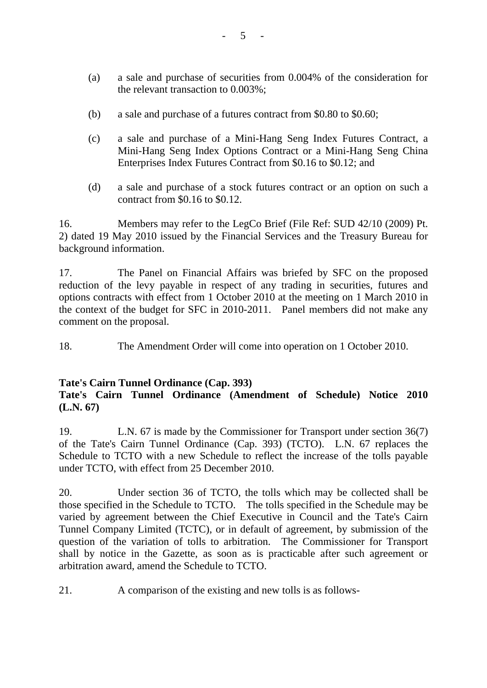- (a) a sale and purchase of securities from 0.004% of the consideration for the relevant transaction to 0.003%;
- (b) a sale and purchase of a futures contract from \$0.80 to \$0.60;
- (c) a sale and purchase of a Mini-Hang Seng Index Futures Contract, a Mini-Hang Seng Index Options Contract or a Mini-Hang Seng China Enterprises Index Futures Contract from \$0.16 to \$0.12; and
- (d) a sale and purchase of a stock futures contract or an option on such a contract from \$0.16 to \$0.12.

16. Members may refer to the LegCo Brief (File Ref: SUD 42/10 (2009) Pt. 2) dated 19 May 2010 issued by the Financial Services and the Treasury Bureau for background information.

17. The Panel on Financial Affairs was briefed by SFC on the proposed reduction of the levy payable in respect of any trading in securities, futures and options contracts with effect from 1 October 2010 at the meeting on 1 March 2010 in the context of the budget for SFC in 2010-2011. Panel members did not make any comment on the proposal.

18. The Amendment Order will come into operation on 1 October 2010.

#### **Tate's Cairn Tunnel Ordinance (Cap. 393)**

# **Tate's Cairn Tunnel Ordinance (Amendment of Schedule) Notice 2010 (L.N. 67)**

19. L.N. 67 is made by the Commissioner for Transport under section 36(7) of the Tate's Cairn Tunnel Ordinance (Cap. 393) (TCTO). L.N. 67 replaces the Schedule to TCTO with a new Schedule to reflect the increase of the tolls payable under TCTO, with effect from 25 December 2010.

20. Under section 36 of TCTO, the tolls which may be collected shall be those specified in the Schedule to TCTO. The tolls specified in the Schedule may be varied by agreement between the Chief Executive in Council and the Tate's Cairn Tunnel Company Limited (TCTC), or in default of agreement, by submission of the question of the variation of tolls to arbitration. The Commissioner for Transport shall by notice in the Gazette, as soon as is practicable after such agreement or arbitration award, amend the Schedule to TCTO.

21. A comparison of the existing and new tolls is as follows-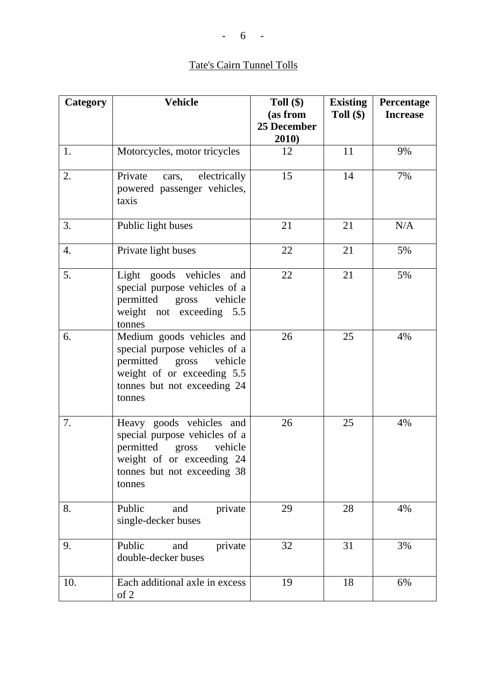# Tate's Cairn Tunnel Tolls

| Category         | <b>Vehicle</b>                                                                                                                                                     | Toll $(\$)$          | <b>Existing</b> | Percentage      |
|------------------|--------------------------------------------------------------------------------------------------------------------------------------------------------------------|----------------------|-----------------|-----------------|
|                  |                                                                                                                                                                    | (as from             | Toll $(\$)$     | <b>Increase</b> |
|                  |                                                                                                                                                                    | 25 December<br>2010) |                 |                 |
| 1.               | Motorcycles, motor tricycles                                                                                                                                       | 12                   | 11              | 9%              |
| 2.               | electrically<br>Private<br>cars,<br>powered passenger vehicles,<br>taxis                                                                                           | 15                   | 14              | 7%              |
| 3.               | Public light buses                                                                                                                                                 | 21                   | 21              | N/A             |
| $\overline{4}$ . | Private light buses                                                                                                                                                | 22                   | 21              | 5%              |
| 5.               | Light goods vehicles and<br>special purpose vehicles of a<br>permitted gross<br>vehicle<br>weight not exceeding 5.5<br>tonnes                                      | 22                   | 21              | 5%              |
| 6.               | Medium goods vehicles and<br>special purpose vehicles of a<br>permitted<br>vehicle<br>gross<br>weight of or exceeding 5.5<br>tonnes but not exceeding 24<br>tonnes | 26                   | 25              | 4%              |
| 7.               | Heavy goods vehicles and<br>special purpose vehicles of a<br>permitted gross<br>vehicle<br>weight of or exceeding 24<br>tonnes but not exceeding 38<br>tonnes      | 26                   | 25              | 4%              |
| 8.               | Public<br>private<br>and<br>single-decker buses                                                                                                                    | 29                   | 28              | 4%              |
| 9.               | Public<br>and<br>private<br>double-decker buses                                                                                                                    | 32                   | 31              | 3%              |
| 10.              | Each additional axle in excess<br>of 2                                                                                                                             | 19                   | 18              | 6%              |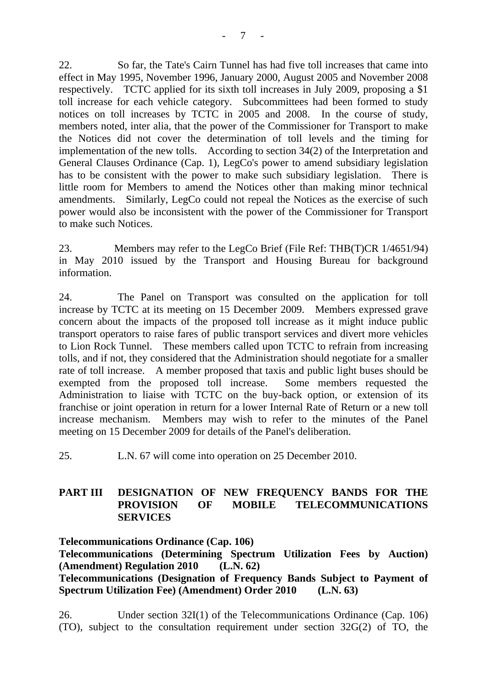22. So far, the Tate's Cairn Tunnel has had five toll increases that came into effect in May 1995, November 1996, January 2000, August 2005 and November 2008 respectively. TCTC applied for its sixth toll increases in July 2009, proposing a \$1 toll increase for each vehicle category. Subcommittees had been formed to study notices on toll increases by TCTC in 2005 and 2008. In the course of study, members noted, inter alia, that the power of the Commissioner for Transport to make the Notices did not cover the determination of toll levels and the timing for implementation of the new tolls. According to section 34(2) of the Interpretation and General Clauses Ordinance (Cap. 1), LegCo's power to amend subsidiary legislation has to be consistent with the power to make such subsidiary legislation. There is little room for Members to amend the Notices other than making minor technical amendments. Similarly, LegCo could not repeal the Notices as the exercise of such power would also be inconsistent with the power of the Commissioner for Transport to make such Notices.

23. Members may refer to the LegCo Brief (File Ref: THB(T)CR 1/4651/94) in May 2010 issued by the Transport and Housing Bureau for background information.

24. The Panel on Transport was consulted on the application for toll increase by TCTC at its meeting on 15 December 2009. Members expressed grave concern about the impacts of the proposed toll increase as it might induce public transport operators to raise fares of public transport services and divert more vehicles to Lion Rock Tunnel. These members called upon TCTC to refrain from increasing tolls, and if not, they considered that the Administration should negotiate for a smaller rate of toll increase. A member proposed that taxis and public light buses should be exempted from the proposed toll increase. Some members requested the Administration to liaise with TCTC on the buy-back option, or extension of its franchise or joint operation in return for a lower Internal Rate of Return or a new toll increase mechanism. Members may wish to refer to the minutes of the Panel meeting on 15 December 2009 for details of the Panel's deliberation.

25. L.N. 67 will come into operation on 25 December 2010.

# **PART III DESIGNATION OF NEW FREQUENCY BANDS FOR THE PROVISION OF MOBILE TELECOMMUNICATIONS SERVICES**

**Telecommunications Ordinance (Cap. 106) Telecommunications (Determining Spectrum Utilization Fees by Auction) (Amendment) Regulation 2010 (L.N. 62) Telecommunications (Designation of Frequency Bands Subject to Payment of Spectrum Utilization Fee) (Amendment) Order 2010 (L.N. 63)** 

26. Under section 32I(1) of the Telecommunications Ordinance (Cap. 106) (TO), subject to the consultation requirement under section 32G(2) of TO, the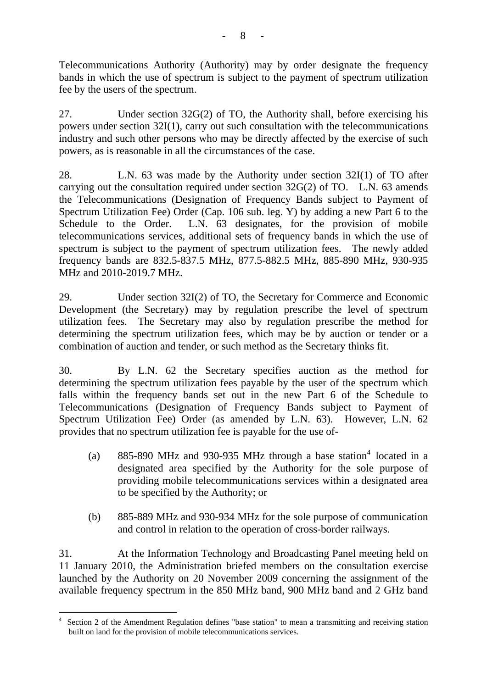Telecommunications Authority (Authority) may by order designate the frequency bands in which the use of spectrum is subject to the payment of spectrum utilization fee by the users of the spectrum.

27. Under section 32G(2) of TO, the Authority shall, before exercising his powers under section 32I(1), carry out such consultation with the telecommunications industry and such other persons who may be directly affected by the exercise of such powers, as is reasonable in all the circumstances of the case.

28. L.N. 63 was made by the Authority under section 32I(1) of TO after carrying out the consultation required under section 32G(2) of TO. L.N. 63 amends the Telecommunications (Designation of Frequency Bands subject to Payment of Spectrum Utilization Fee) Order (Cap. 106 sub. leg. Y) by adding a new Part 6 to the Schedule to the Order. L.N. 63 designates, for the provision of mobile telecommunications services, additional sets of frequency bands in which the use of spectrum is subject to the payment of spectrum utilization fees. The newly added frequency bands are 832.5-837.5 MHz, 877.5-882.5 MHz, 885-890 MHz, 930-935 MHz and 2010-2019.7 MHz.

29. Under section 32I(2) of TO, the Secretary for Commerce and Economic Development (the Secretary) may by regulation prescribe the level of spectrum utilization fees. The Secretary may also by regulation prescribe the method for determining the spectrum utilization fees, which may be by auction or tender or a combination of auction and tender, or such method as the Secretary thinks fit.

30. By L.N. 62 the Secretary specifies auction as the method for determining the spectrum utilization fees payable by the user of the spectrum which falls within the frequency bands set out in the new Part 6 of the Schedule to Telecommunications (Designation of Frequency Bands subject to Payment of Spectrum Utilization Fee) Order (as amended by L.N. 63). However, L.N. 62 provides that no spectrum utilization fee is payable for the use of-

- (a)  $885-890$  MHz and 930-935 MHz through a base station<sup>4</sup> located in a designated area specified by the Authority for the sole purpose of providing mobile telecommunications services within a designated area to be specified by the Authority; or
- (b) 885-889 MHz and 930-934 MHz for the sole purpose of communication and control in relation to the operation of cross-border railways.

31. At the Information Technology and Broadcasting Panel meeting held on 11 January 2010, the Administration briefed members on the consultation exercise launched by the Authority on 20 November 2009 concerning the assignment of the available frequency spectrum in the 850 MHz band, 900 MHz band and 2 GHz band

 $\overline{a}$ 4 Section 2 of the Amendment Regulation defines "base station" to mean a transmitting and receiving station built on land for the provision of mobile telecommunications services.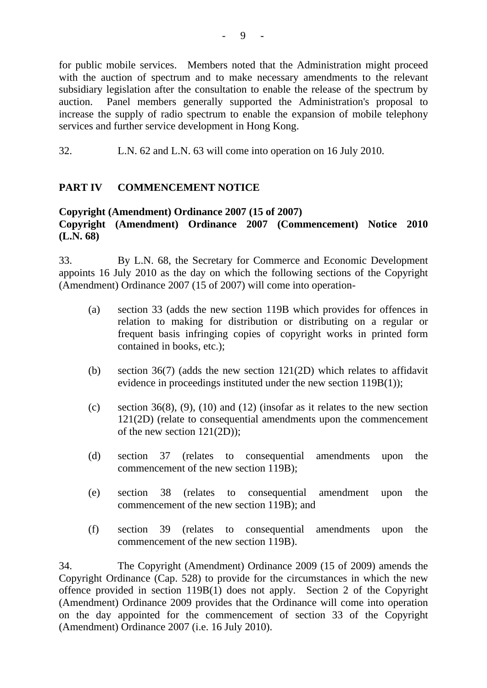for public mobile services. Members noted that the Administration might proceed with the auction of spectrum and to make necessary amendments to the relevant subsidiary legislation after the consultation to enable the release of the spectrum by auction. Panel members generally supported the Administration's proposal to increase the supply of radio spectrum to enable the expansion of mobile telephony services and further service development in Hong Kong.

32. L.N. 62 and L.N. 63 will come into operation on 16 July 2010.

# **PART IV COMMENCEMENT NOTICE**

# **Copyright (Amendment) Ordinance 2007 (15 of 2007)**

# **Copyright (Amendment) Ordinance 2007 (Commencement) Notice 2010 (L.N. 68)**

33. By L.N. 68, the Secretary for Commerce and Economic Development appoints 16 July 2010 as the day on which the following sections of the Copyright (Amendment) Ordinance 2007 (15 of 2007) will come into operation-

- (a) section 33 (adds the new section 119B which provides for offences in relation to making for distribution or distributing on a regular or frequent basis infringing copies of copyright works in printed form contained in books, etc.);
- (b) section 36(7) (adds the new section 121(2D) which relates to affidavit evidence in proceedings instituted under the new section 119B(1));
- (c) section 36(8), (9), (10) and (12) (insofar as it relates to the new section 121(2D) (relate to consequential amendments upon the commencement of the new section 121(2D));
- (d) section 37 (relates to consequential amendments upon the commencement of the new section 119B);
- (e) section 38 (relates to consequential amendment upon the commencement of the new section 119B); and
- (f) section 39 (relates to consequential amendments upon the commencement of the new section 119B).

34. The Copyright (Amendment) Ordinance 2009 (15 of 2009) amends the Copyright Ordinance (Cap. 528) to provide for the circumstances in which the new offence provided in section 119B(1) does not apply. Section 2 of the Copyright (Amendment) Ordinance 2009 provides that the Ordinance will come into operation on the day appointed for the commencement of section 33 of the Copyright (Amendment) Ordinance 2007 (i.e. 16 July 2010).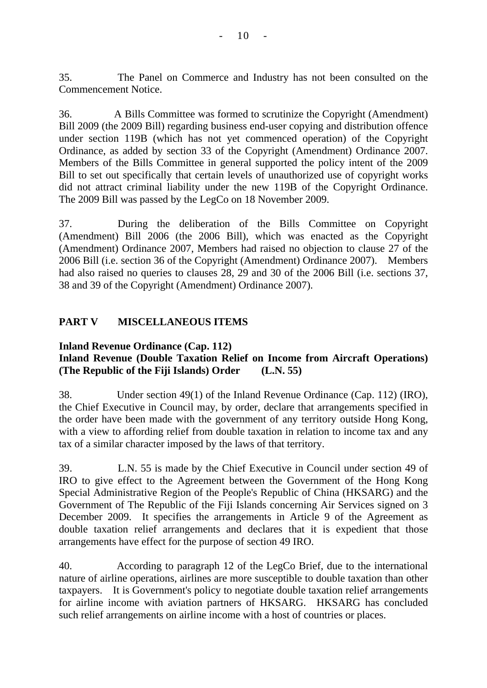35. The Panel on Commerce and Industry has not been consulted on the Commencement Notice.

36. A Bills Committee was formed to scrutinize the Copyright (Amendment) Bill 2009 (the 2009 Bill) regarding business end-user copying and distribution offence under section 119B (which has not yet commenced operation) of the Copyright Ordinance, as added by section 33 of the Copyright (Amendment) Ordinance 2007. Members of the Bills Committee in general supported the policy intent of the 2009 Bill to set out specifically that certain levels of unauthorized use of copyright works did not attract criminal liability under the new 119B of the Copyright Ordinance. The 2009 Bill was passed by the LegCo on 18 November 2009.

37. During the deliberation of the Bills Committee on Copyright (Amendment) Bill 2006 (the 2006 Bill), which was enacted as the Copyright (Amendment) Ordinance 2007, Members had raised no objection to clause 27 of the 2006 Bill (i.e. section 36 of the Copyright (Amendment) Ordinance 2007). Members had also raised no queries to clauses 28, 29 and 30 of the 2006 Bill (i.e. sections 37, 38 and 39 of the Copyright (Amendment) Ordinance 2007).

# **PART V MISCELLANEOUS ITEMS**

### **Inland Revenue Ordinance (Cap. 112) Inland Revenue (Double Taxation Relief on Income from Aircraft Operations) (The Republic of the Fiji Islands) Order (L.N. 55)**

38. Under section 49(1) of the Inland Revenue Ordinance (Cap. 112) (IRO), the Chief Executive in Council may, by order, declare that arrangements specified in the order have been made with the government of any territory outside Hong Kong, with a view to affording relief from double taxation in relation to income tax and any tax of a similar character imposed by the laws of that territory.

39. L.N. 55 is made by the Chief Executive in Council under section 49 of IRO to give effect to the Agreement between the Government of the Hong Kong Special Administrative Region of the People's Republic of China (HKSARG) and the Government of The Republic of the Fiji Islands concerning Air Services signed on 3 December 2009. It specifies the arrangements in Article 9 of the Agreement as double taxation relief arrangements and declares that it is expedient that those arrangements have effect for the purpose of section 49 IRO.

40. According to paragraph 12 of the LegCo Brief, due to the international nature of airline operations, airlines are more susceptible to double taxation than other taxpayers. It is Government's policy to negotiate double taxation relief arrangements for airline income with aviation partners of HKSARG. HKSARG has concluded such relief arrangements on airline income with a host of countries or places.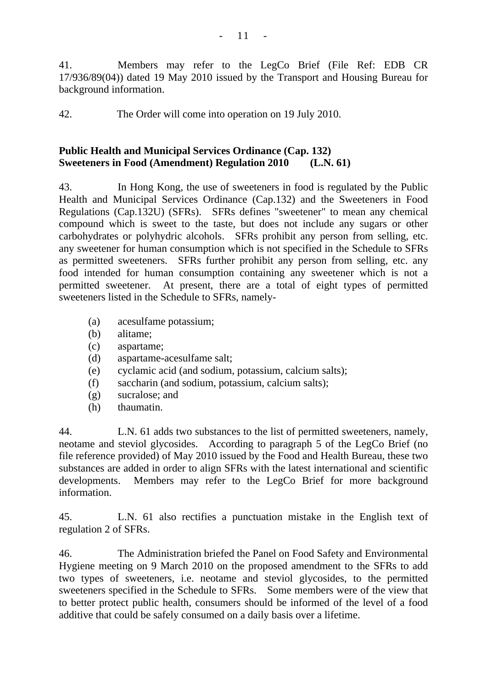41. Members may refer to the LegCo Brief (File Ref: EDB CR 17/936/89(04)) dated 19 May 2010 issued by the Transport and Housing Bureau for background information.

42. The Order will come into operation on 19 July 2010.

### **Public Health and Municipal Services Ordinance (Cap. 132) Sweeteners in Food (Amendment) Regulation 2010 (L.N. 61)**

43. In Hong Kong, the use of sweeteners in food is regulated by the Public Health and Municipal Services Ordinance (Cap.132) and the Sweeteners in Food Regulations (Cap.132U) (SFRs). SFRs defines "sweetener" to mean any chemical compound which is sweet to the taste, but does not include any sugars or other carbohydrates or polyhydric alcohols. SFRs prohibit any person from selling, etc. any sweetener for human consumption which is not specified in the Schedule to SFRs as permitted sweeteners. SFRs further prohibit any person from selling, etc. any food intended for human consumption containing any sweetener which is not a permitted sweetener. At present, there are a total of eight types of permitted sweeteners listed in the Schedule to SFRs, namely-

- (a) acesulfame potassium;
- (b) alitame;
- (c) aspartame;
- (d) aspartame-acesulfame salt;
- (e) cyclamic acid (and sodium, potassium, calcium salts);
- (f) saccharin (and sodium, potassium, calcium salts);
- (g) sucralose; and
- (h) thaumatin.

44. L.N. 61 adds two substances to the list of permitted sweeteners, namely, neotame and steviol glycosides. According to paragraph 5 of the LegCo Brief (no file reference provided) of May 2010 issued by the Food and Health Bureau, these two substances are added in order to align SFRs with the latest international and scientific developments. Members may refer to the LegCo Brief for more background information.

45. L.N. 61 also rectifies a punctuation mistake in the English text of regulation 2 of SFRs.

46. The Administration briefed the Panel on Food Safety and Environmental Hygiene meeting on 9 March 2010 on the proposed amendment to the SFRs to add two types of sweeteners, i.e. neotame and steviol glycosides, to the permitted sweeteners specified in the Schedule to SFRs. Some members were of the view that to better protect public health, consumers should be informed of the level of a food additive that could be safely consumed on a daily basis over a lifetime.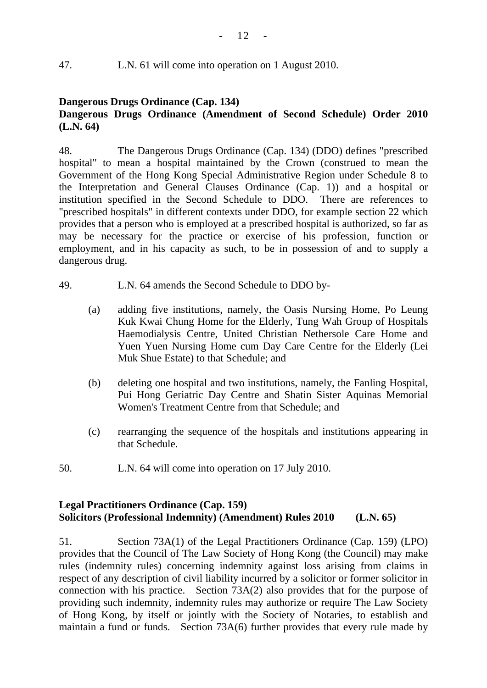# 47. L.N. 61 will come into operation on 1 August 2010.

# **Dangerous Drugs Ordinance (Cap. 134) Dangerous Drugs Ordinance (Amendment of Second Schedule) Order 2010 (L.N. 64)**

48. The Dangerous Drugs Ordinance (Cap. 134) (DDO) defines "prescribed hospital" to mean a hospital maintained by the Crown (construed to mean the Government of the Hong Kong Special Administrative Region under Schedule 8 to the Interpretation and General Clauses Ordinance (Cap. 1)) and a hospital or institution specified in the Second Schedule to DDO. There are references to "prescribed hospitals" in different contexts under DDO, for example section 22 which provides that a person who is employed at a prescribed hospital is authorized, so far as may be necessary for the practice or exercise of his profession, function or employment, and in his capacity as such, to be in possession of and to supply a dangerous drug.

- 49. L.N. 64 amends the Second Schedule to DDO by-
	- (a) adding five institutions, namely, the Oasis Nursing Home, Po Leung Kuk Kwai Chung Home for the Elderly, Tung Wah Group of Hospitals Haemodialysis Centre, United Christian Nethersole Care Home and Yuen Yuen Nursing Home cum Day Care Centre for the Elderly (Lei Muk Shue Estate) to that Schedule; and
	- (b) deleting one hospital and two institutions, namely, the Fanling Hospital, Pui Hong Geriatric Day Centre and Shatin Sister Aquinas Memorial Women's Treatment Centre from that Schedule; and
	- (c) rearranging the sequence of the hospitals and institutions appearing in that Schedule.
- 50. L.N. 64 will come into operation on 17 July 2010.

# **Legal Practitioners Ordinance (Cap. 159) Solicitors (Professional Indemnity) (Amendment) Rules 2010 (L.N. 65)**

51. Section 73A(1) of the Legal Practitioners Ordinance (Cap. 159) (LPO) provides that the Council of The Law Society of Hong Kong (the Council) may make rules (indemnity rules) concerning indemnity against loss arising from claims in respect of any description of civil liability incurred by a solicitor or former solicitor in connection with his practice. Section 73A(2) also provides that for the purpose of providing such indemnity, indemnity rules may authorize or require The Law Society of Hong Kong, by itself or jointly with the Society of Notaries, to establish and maintain a fund or funds. Section 73A(6) further provides that every rule made by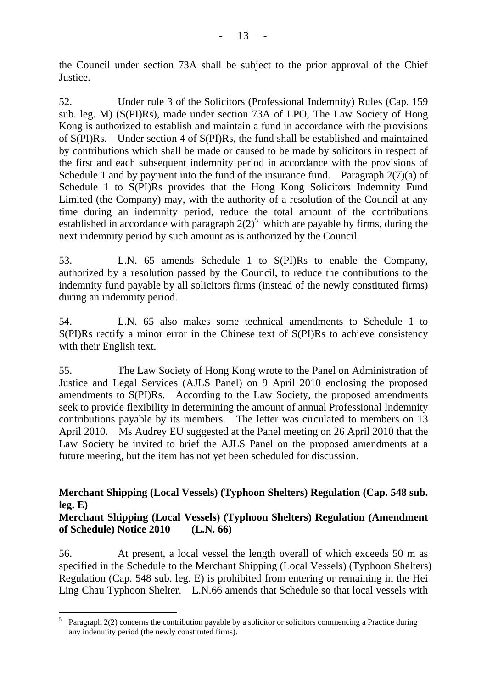the Council under section 73A shall be subject to the prior approval of the Chief Justice.

52. Under rule 3 of the Solicitors (Professional Indemnity) Rules (Cap. 159 sub. leg. M) (S(PI)Rs), made under section 73A of LPO, The Law Society of Hong Kong is authorized to establish and maintain a fund in accordance with the provisions of S(PI)Rs. Under section 4 of S(PI)Rs, the fund shall be established and maintained by contributions which shall be made or caused to be made by solicitors in respect of the first and each subsequent indemnity period in accordance with the provisions of Schedule 1 and by payment into the fund of the insurance fund. Paragraph  $2(7)(a)$  of Schedule 1 to S(PI)Rs provides that the Hong Kong Solicitors Indemnity Fund Limited (the Company) may, with the authority of a resolution of the Council at any time during an indemnity period, reduce the total amount of the contributions established in accordance with paragraph  $2(2)^5$  which are payable by firms, during the next indemnity period by such amount as is authorized by the Council.

53. L.N. 65 amends Schedule 1 to S(PI)Rs to enable the Company, authorized by a resolution passed by the Council, to reduce the contributions to the indemnity fund payable by all solicitors firms (instead of the newly constituted firms) during an indemnity period.

54. L.N. 65 also makes some technical amendments to Schedule 1 to S(PI)Rs rectify a minor error in the Chinese text of S(PI)Rs to achieve consistency with their English text.

55. The Law Society of Hong Kong wrote to the Panel on Administration of Justice and Legal Services (AJLS Panel) on 9 April 2010 enclosing the proposed amendments to S(PI)Rs. According to the Law Society, the proposed amendments seek to provide flexibility in determining the amount of annual Professional Indemnity contributions payable by its members. The letter was circulated to members on 13 April 2010. Ms Audrey EU suggested at the Panel meeting on 26 April 2010 that the Law Society be invited to brief the AJLS Panel on the proposed amendments at a future meeting, but the item has not yet been scheduled for discussion.

# **Merchant Shipping (Local Vessels) (Typhoon Shelters) Regulation (Cap. 548 sub. leg. E)**

# **Merchant Shipping (Local Vessels) (Typhoon Shelters) Regulation (Amendment of Schedule) Notice 2010 (L.N. 66)**

56. At present, a local vessel the length overall of which exceeds 50 m as specified in the Schedule to the Merchant Shipping (Local Vessels) (Typhoon Shelters) Regulation (Cap. 548 sub. leg. E) is prohibited from entering or remaining in the Hei Ling Chau Typhoon Shelter. L.N.66 amends that Schedule so that local vessels with

 $\overline{a}$ 5 Paragraph 2(2) concerns the contribution payable by a solicitor or solicitors commencing a Practice during any indemnity period (the newly constituted firms).